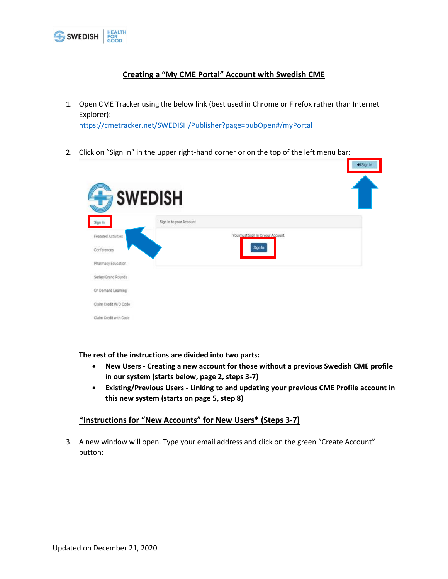

## **Creating a "My CME Portal" Account with Swedish CME**

1. Open CME Tracker using the below link (best used in Chrome or Firefox rather than Internet Explorer):

<https://cmetracker.net/SWEDISH/Publisher?page=pubOpen#/myPortal>

2. Click on "Sign In" in the upper right-hand corner or on the top of the left menu bar:

| <b>SWEDISH</b>         |                         |                                   |  |
|------------------------|-------------------------|-----------------------------------|--|
| Sign In                | Sign In to your Account |                                   |  |
| Featured Activities    |                         | You must Sign In to your Account. |  |
| Conferences            |                         | Sign In                           |  |
| Pharmacy Education     |                         |                                   |  |
| Series/Grand Rounds    |                         |                                   |  |
| On Demand Learning     |                         |                                   |  |
| Claim Credit W/O Code  |                         |                                   |  |
| Claim Credit with Code |                         |                                   |  |

+3 Sign In

**The rest of the instructions are divided into two parts:**

- **New Users - Creating a new account for those without a previous Swedish CME profile in our system (starts below, page 2, steps 3-7)**
- **Existing/Previous Users - Linking to and updating your previous CME Profile account in this new system (starts on page 5, step 8)**

## **\*Instructions for "New Accounts" for New Users\* (Steps 3-7)**

3. A new window will open. Type your email address and click on the green "Create Account" button: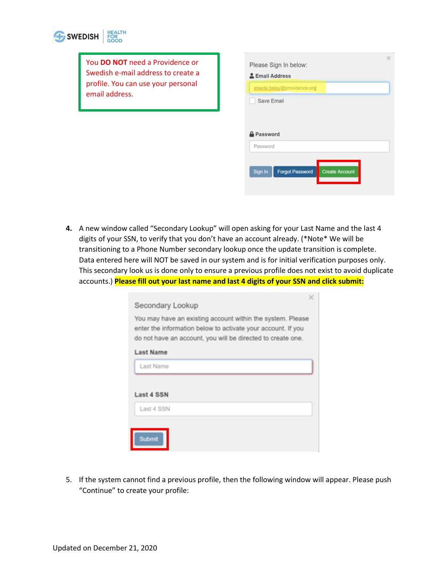

You **DO NOT** need a Providence or Swedish e-mail address to create a profile. You can use your personal email address.

|                   | Please Sign In below:       |                       |  |
|-------------------|-----------------------------|-----------------------|--|
| & Email Address   |                             |                       |  |
|                   | atsede.belay@providence.org |                       |  |
| Save Email        |                             |                       |  |
|                   |                             |                       |  |
|                   |                             |                       |  |
|                   |                             |                       |  |
|                   |                             |                       |  |
| <b>A</b> Password |                             |                       |  |
| Password          |                             |                       |  |
|                   |                             |                       |  |
|                   |                             |                       |  |
| Sign In           | <b>Forgot Password</b>      | <b>Create Account</b> |  |

**4.** A new window called "Secondary Lookup" will open asking for your Last Name and the last 4 digits of your SSN, to verify that you don't have an account already. (\*Note\* We will be transitioning to a Phone Number secondary lookup once the update transition is complete. Data entered here will NOT be saved in our system and is for initial verification purposes only. This secondary look us is done only to ensure a previous profile does not exist to avoid duplicate accounts.) **Please fill out your last name and last 4 digits of your SSN and click submit:**

| ×                                                                                                                                                                                         |
|-------------------------------------------------------------------------------------------------------------------------------------------------------------------------------------------|
| Secondary Lookup                                                                                                                                                                          |
| You may have an existing account within the system. Please<br>enter the information below to activate your account. If you<br>do not have an account, you will be directed to create one. |
| Last Name                                                                                                                                                                                 |
| Last Name                                                                                                                                                                                 |
|                                                                                                                                                                                           |
| Last 4 SSN                                                                                                                                                                                |
| Last 4 SSN                                                                                                                                                                                |
| Submit                                                                                                                                                                                    |

5. If the system cannot find a previous profile, then the following window will appear. Please push "Continue" to create your profile: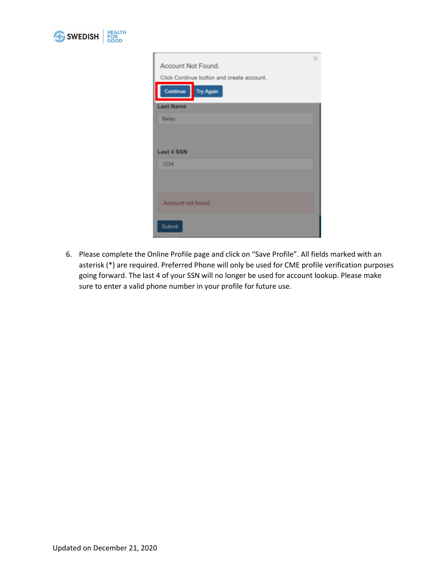

| Account Not Found.                        | × |
|-------------------------------------------|---|
|                                           |   |
| Click Continue button and create account. |   |
| Continue<br>Try Again                     |   |
| <b>Last Name</b>                          |   |
| <b>Belay</b>                              |   |
|                                           |   |
|                                           |   |
|                                           |   |
| <b>Last 4 SSN</b>                         |   |
| 1234                                      |   |
|                                           |   |
|                                           |   |
|                                           |   |
|                                           |   |
| Account not found                         |   |
|                                           |   |
| Submit                                    |   |
|                                           |   |

6. Please complete the Online Profile page and click on "Save Profile". All fields marked with an asterisk (\*) are required. Preferred Phone will only be used for CME profile verification purposes going forward. The last 4 of your SSN will no longer be used for account lookup. Please make sure to enter a valid phone number in your profile for future use.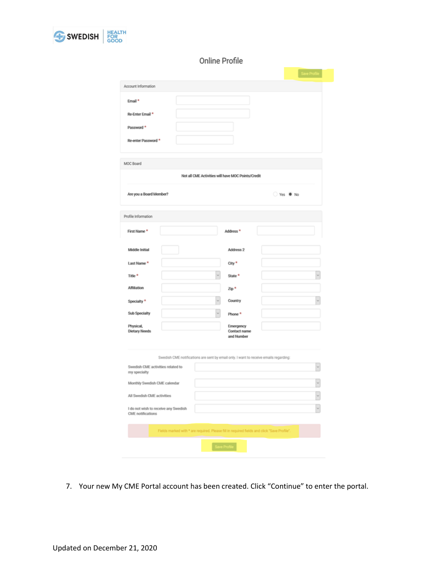

## Online Profile

|                                                           |                                                                                             |                                                    | Save Profile |
|-----------------------------------------------------------|---------------------------------------------------------------------------------------------|----------------------------------------------------|--------------|
| Account Information                                       |                                                                                             |                                                    |              |
| Email <sup>*</sup><br>Re-Enter Email *                    |                                                                                             |                                                    |              |
| Password *                                                |                                                                                             |                                                    |              |
| Re-enter Password *                                       |                                                                                             |                                                    |              |
| MOC Board                                                 |                                                                                             |                                                    |              |
|                                                           |                                                                                             | Not all CME Activities will have MOC Points/Credit |              |
| Are you a Board Member?                                   |                                                                                             |                                                    | ○ Yes ● No   |
| Profile Information                                       |                                                                                             |                                                    |              |
| First Name*                                               |                                                                                             | Address <sup>*</sup>                               |              |
| Middle Initial                                            |                                                                                             | Address 2                                          |              |
| Last Name*                                                |                                                                                             | City <sup>*</sup>                                  |              |
| Title <sup>*</sup>                                        |                                                                                             | State <sup>*</sup>                                 |              |
| Affiliation                                               |                                                                                             | Zip*                                               |              |
| Specialty*                                                |                                                                                             | Country                                            |              |
| Sub Specialty                                             |                                                                                             | Phone <sup>*</sup>                                 |              |
| Physical,<br><b>Dietary Needs</b>                         |                                                                                             | Emergency<br>Contact name<br>and Number            |              |
|                                                           | Swedish CME notifications are sent by email only. I want to receive emails regarding:       |                                                    |              |
| Swedish CME activities related to<br>my specialty         |                                                                                             |                                                    |              |
| Monthly Swedish CME calendar                              |                                                                                             |                                                    |              |
| All Swedish CME activities                                |                                                                                             |                                                    |              |
| I do not wish to receive any Swedish<br>CME notifications |                                                                                             |                                                    |              |
|                                                           | Fields marked with * are required. Please fill in required fields and click "Save Profile". |                                                    |              |
|                                                           |                                                                                             | Save Profile                                       |              |

7. Your new My CME Portal account has been created. Click "Continue" to enter the portal.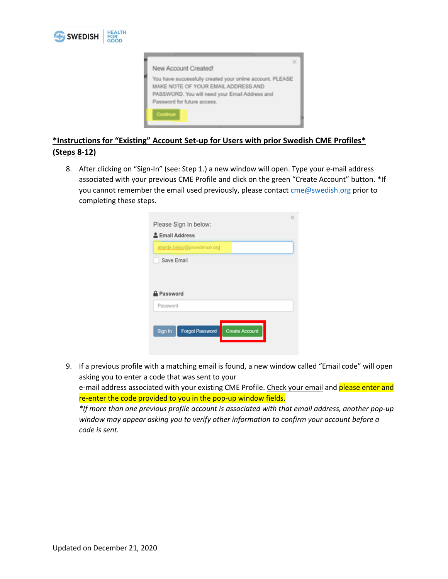



## **\*Instructions for "Existing" Account Set-up for Users with prior Swedish CME Profiles\* (Steps 8-12)**

8. After clicking on "Sign-In" (see: Step 1.) a new window will open. Type your e-mail address associated with your previous CME Profile and click on the green "Create Account" button. \*If you cannot remember the email used previously, please contact [cme@swedish.org](mailto:cme@swedish.org) prior to completing these steps.

| Please Sign In below:                                      |  |
|------------------------------------------------------------|--|
| 르 Email Address                                            |  |
| atsede.belay@providence.org                                |  |
| Save Email                                                 |  |
| <b>Password</b>                                            |  |
| Password                                                   |  |
| Sign In<br><b>Forgot Password</b><br><b>Create Account</b> |  |

9. If a previous profile with a matching email is found, a new window called "Email code" will open asking you to enter a code that was sent to your

e-mail address associated with your existing CME Profile. Check your email and please enter and re-enter the code provided to you in the pop-up window fields.

*\*If more than one previous profile account is associated with that email address, another pop-up window may appear asking you to verify other information to confirm your account before a code is sent.*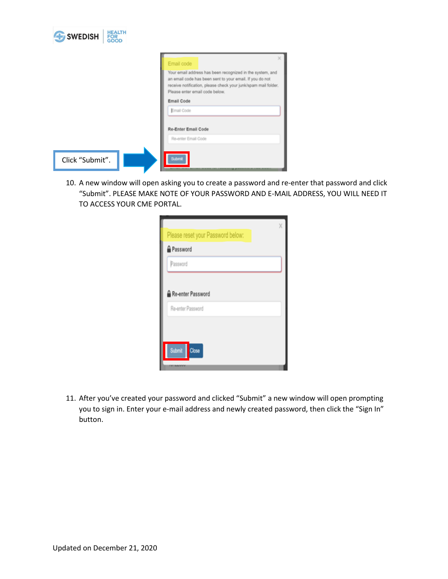| SWEDISH<br><b>FOR</b><br>GOOD |                                                                                                                                                                                                                           |
|-------------------------------|---------------------------------------------------------------------------------------------------------------------------------------------------------------------------------------------------------------------------|
|                               | Email code                                                                                                                                                                                                                |
|                               | Your email address has been recognized in the system, and<br>an email code has been sent to your email. If you do not<br>receive notification, please check your junk/spam mail folder.<br>Please enter email code below. |
|                               | Email Code                                                                                                                                                                                                                |
|                               | Email Code                                                                                                                                                                                                                |
|                               | Re-Enter Email Code                                                                                                                                                                                                       |
|                               | Re-enter Email Code                                                                                                                                                                                                       |
| Click "Submit".               | <b>Submit</b>                                                                                                                                                                                                             |

 $\overline{1}$  and  $\overline{2}$  and  $\overline{3}$ 

10. A new window will open asking you to create a password and re-enter that password and click "Submit". PLEASE MAKE NOTE OF YOUR PASSWORD AND E-MAIL ADDRESS, YOU WILL NEED IT TO ACCESS YOUR CME PORTAL.

|                   | Please reset your Password below: |  |  |
|-------------------|-----------------------------------|--|--|
| Password          |                                   |  |  |
| Password          |                                   |  |  |
|                   |                                   |  |  |
|                   | Re-enter Password                 |  |  |
| Re-enter Password |                                   |  |  |
|                   |                                   |  |  |
|                   |                                   |  |  |

11. After you've created your password and clicked "Submit" a new window will open prompting you to sign in. Enter your e-mail address and newly created password, then click the "Sign In" button.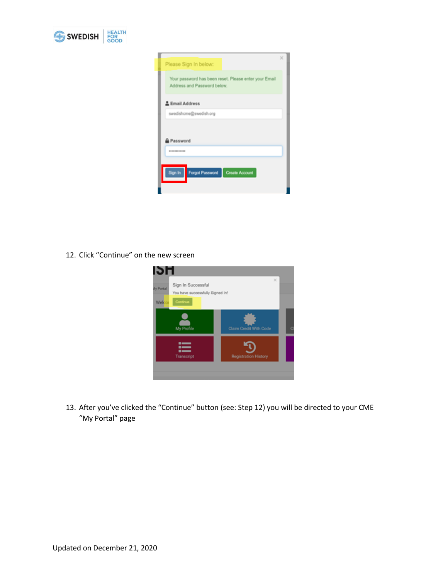

| Please Sign In below:                                                                |  |
|--------------------------------------------------------------------------------------|--|
| Your password has been reset. Please enter your Email<br>Address and Password below. |  |
| & Email Address                                                                      |  |
| swedishcme@swedish.org                                                               |  |
| Password                                                                             |  |
| <b>BROWNERSHIPER</b>                                                                 |  |
| Sign In<br>Forgot Password<br><b>Create Account</b>                                  |  |

12. Click "Continue" on the new screen



13. After you've clicked the "Continue" button (see: Step 12) you will be directed to your CME "My Portal" page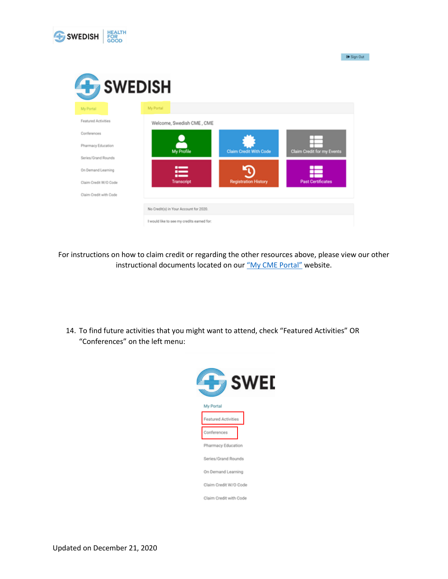

 $\Theta$  Sign Out



For instructions on how to claim credit or regarding the other resources above, please view our other instructional documents located on our ["My CME Portal"](https://www.swedish.org/for-health-professionals/cme/my-cme-portal) website.

14. To find future activities that you might want to attend, check "Featured Activities" OR "Conferences" on the left menu: